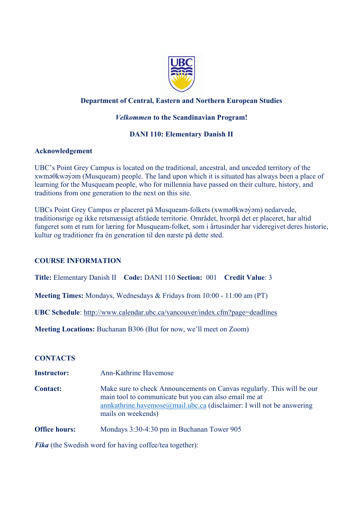

## **Department of Central, Eastern and Northern European Studies**

## *Velkommen* **to the Scandinavian Program!**

## **DANI 110: Elementary Danish II**

### **Acknowledgement**

UBC's Point Grey Campus is located on the traditional, ancestral, and unceded territory of the xwməθkwəy̓əm (Musqueam) people. The land upon which it is situated has always been a place of learning for the Musqueam people, who for millennia have passed on their culture, history, and traditions from one generation to the next on this site.

UBCs Point Grey Campus er placeret på Musqueam-folkets (xwməθkwəy̓əm) nedarvede, traditionsrige og ikke retsmæssigt afståede territorie. Området, hvorpå det er placeret, har altid fungeret som et rum for læring for Musqueam-folket, som i årtusinder har videregivet deres historie, kultur og traditioner fra én generation til den næste på dette sted.

### **COURSE INFORMATION**

**Title:** Elementary Danish II **Code:** DANI 110 **Section:** 001 **Credit Value**: 3

**Meeting Times:** Mondays, Wednesdays & Fridays from 10:00 - 11:00 am (PT)

**UBC Schedule**: <http://www.calendar.ubc.ca/vancouver/index.cfm?page=deadlines>

**Meeting Locations:** Buchanan B306 (But for now, we'll meet on Zoom)

### **CONTACTS**

- **Instructor:** Ann-Kathrine Havemose
- **Contact:** Make sure to check Announcements on Canvas regularly. This will be our main tool to communicate but you can also email me at [annkathrine.havemose@mail.ubc.ca](mailto:annkathrine.havemose@mail.ubc.ca) (disclaimer: I will not be answering mails on weekends)
- **Office hours:** Mondays 3:30-4:30 pm in Buchanan Tower 905

*Fika* (the Swedish word for having coffee/tea together):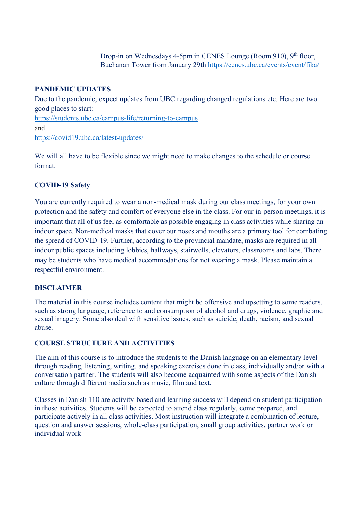Drop-in on Wednesdays 4-5pm in CENES Lounge (Room 910), 9<sup>th</sup> floor, Buchanan Tower from January 29th <https://cenes.ubc.ca/events/event/fika/>

### **PANDEMIC UPDATES**

Due to the pandemic, expect updates from UBC regarding changed regulations etc. Here are two good places to start: [https://students.ubc.ca/campus](https://students.ubc.ca/campus-life/returning-to-campus)-life/returning-to-campus and [https://covid19.ubc.ca/latest](https://covid19.ubc.ca/latest-updates/)-updates/

We will all have to be flexible since we might need to make changes to the schedule or course format.

## **COVID-19 Safety**

You are currently required to wear a non-medical mask during our class meetings, for your own protection and the safety and comfort of everyone else in the class. For our in-person meetings, it is important that all of us feel as comfortable as possible engaging in class activities while sharing an indoor space. Non-medical masks that cover our noses and mouths are a primary tool for combating the spread of COVID-19. Further, according to the provincial mandate, masks are required in all indoor public spaces including lobbies, hallways, stairwells, elevators, classrooms and labs. There may be students who have medical accommodations for not wearing a mask. Please maintain a respectful environment.

### **DISCLAIMER**

The material in this course includes content that might be offensive and upsetting to some readers, such as strong language, reference to and consumption of alcohol and drugs, violence, graphic and sexual imagery. Some also deal with sensitive issues, such as suicide, death, racism, and sexual abuse.

## **COURSE STRUCTURE AND ACTIVITIES**

The aim of this course is to introduce the students to the Danish language on an elementary level through reading, listening, writing, and speaking exercises done in class, individually and/or with a conversation partner. The students will also become acquainted with some aspects of the Danish culture through different media such as music, film and text.

Classes in Danish 110 are activity-based and learning success will depend on student participation in those activities. Students will be expected to attend class regularly, come prepared, and participate actively in all class activities. Most instruction will integrate a combination of lecture, question and answer sessions, whole-class participation, small group activities, partner work or individual work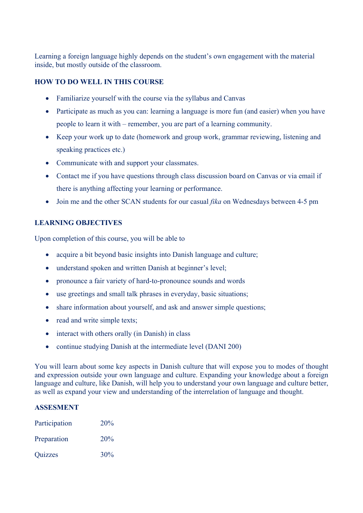Learning a foreign language highly depends on the student's own engagement with the material inside, but mostly outside of the classroom.

## **HOW TO DO WELL IN THIS COURSE**

- Familiarize yourself with the course via the syllabus and Canvas
- Participate as much as you can: learning a language is more fun (and easier) when you have people to learn it with – remember, you are part of a learning community.
- Keep your work up to date (homework and group work, grammar reviewing, listening and speaking practices etc.)
- Communicate with and support your classmates.
- Contact me if you have questions through class discussion board on Canvas or via email if there is anything affecting your learning or performance.
- Join me and the other SCAN students for our casual *fika* on Wednesdays between 4-5 pm

### **LEARNING OBJECTIVES**

Upon completion of this course, you will be able to

- acquire a bit beyond basic insights into Danish language and culture;
- understand spoken and written Danish at beginner's level;
- pronounce a fair variety of hard-to-pronounce sounds and words
- use greetings and small talk phrases in everyday, basic situations;
- share information about yourself, and ask and answer simple questions;
- read and write simple texts;
- interact with others orally (in Danish) in class
- continue studying Danish at the intermediate level (DANI 200)

You will learn about some key aspects in Danish culture that will expose you to modes of thought and expression outside your own language and culture. Expanding your knowledge about a foreign language and culture, like Danish, will help you to understand your own language and culture better, as well as expand your view and understanding of the interrelation of language and thought.

### **ASSESMENT**

| Participation  | 20% |
|----------------|-----|
| Preparation    | 20% |
| <b>Quizzes</b> | 30% |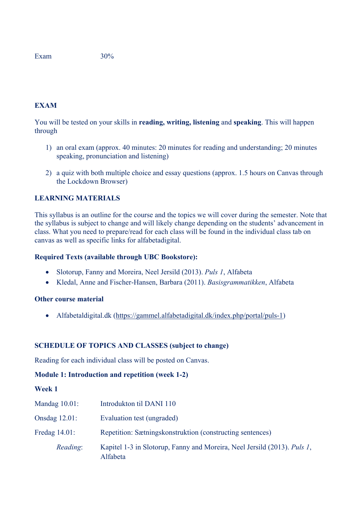Exam  $30\%$ 

## **EXAM**

You will be tested on your skills in **reading, writing, listening** and **speaking**. This will happen through

- 1) an oral exam (approx. 40 minutes: 20 minutes for reading and understanding; 20 minutes speaking, pronunciation and listening)
- 2) a quiz with both multiple choice and essay questions (approx. 1.5 hours on Canvas through the Lockdown Browser)

## **LEARNING MATERIALS**

This syllabus is an outline for the course and the topics we will cover during the semester. Note that the syllabus is subject to change and will likely change depending on the students' advancement in class. What you need to prepare/read for each class will be found in the individual class tab on canvas as well as specific links for alfabetadigital.

### **Required Texts (available through UBC Bookstore):**

- Slotorup, Fanny and Moreira, Neel Jersild (2013). *Puls 1*, Alfabeta
- Kledal, Anne and Fischer-Hansen, Barbara (2011). *Basisgrammatikken*, Alfabeta

#### **Other course material**

• Alfabetaldigital.dk [\(https://gammel.alfabetadigital.dk/index.php/portal/puls](https://gammel.alfabetadigital.dk/index.php/portal/puls-1)-1)

### **SCHEDULE OF TOPICS AND CLASSES (subject to change)**

Reading for each individual class will be posted on Canvas.

### **Module 1: Introduction and repetition (week 1-2)**

**Week 1**

| Mandag $10.01$ : | Introdukton til DANI 110                                                             |
|------------------|--------------------------------------------------------------------------------------|
| Onsdag $12.01$ : | Evaluation test (ungraded)                                                           |
| Fredag $14.01$ : | Repetition: Sætningskonstruktion (constructing sentences)                            |
| Reading:         | Kapitel 1-3 in Slotorup, Fanny and Moreira, Neel Jersild (2013). Puls 1,<br>Alfabeta |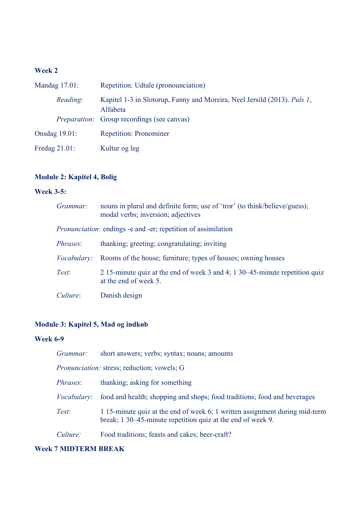# **Week 2**

| Mandag $17.01$ :     | Repetition: Udtale (pronounciation)                                                  |
|----------------------|--------------------------------------------------------------------------------------|
| Reading:             | Kapitel 1-3 in Slotorup, Fanny and Moreira, Neel Jersild (2013). Puls 1,<br>Alfabeta |
|                      | <i>Preparation:</i> Group recordings (see canvas)                                    |
| <b>Onsdag 19.01:</b> | <b>Repetition: Pronominer</b>                                                        |
| Fredag $21.01$ :     | Kultur og leg                                                                        |

# **Module 2: Kapitel 4, Bolig**

# **Week 3-5:**

| Grammar: | nouns in plural and definite form; use of 'tror' (to think/believe/guess);<br>modal verbs; inversion; adjectives |
|----------|------------------------------------------------------------------------------------------------------------------|
|          | <i>Pronunciation:</i> endings -e and -er; repetition of assimilation                                             |
| Phrases: | thanking; greeting; congratulating; inviting                                                                     |
|          | <i>Vocabulary:</i> Rooms of the house; furniture; types of houses; owning houses                                 |
| Test:    | 2.15-minute quiz at the end of week 3 and 4; 1.30–45-minute repetition quiz<br>at the end of week 5.             |
| Culture: | Danish design                                                                                                    |

# **Module 3: Kapitel 5, Mad og indkøb**

## **Week 6-9**

| Grammar:           | short answers; verbs; syntax; nouns; amounts                                                                                               |
|--------------------|--------------------------------------------------------------------------------------------------------------------------------------------|
|                    | <i>Pronunciation:</i> stress; reduction; vowels; G                                                                                         |
| <i>Phrases:</i>    | thanking; asking for something                                                                                                             |
| <i>Vocabulary:</i> | food and health; shopping and shops; food traditions; food and beverages                                                                   |
| Test:              | 1 15-minute quiz at the end of week 6; 1 written assignment during mid-term<br>break; 1 30–45-minute repetition quiz at the end of week 9. |
| Culture:           | Food traditions; feasts and cakes; beer-craft?                                                                                             |

## **Week 7 MIDTERM BREAK**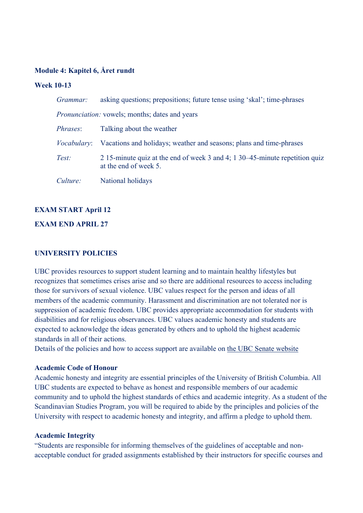### **Module 4: Kapitel 6, Året rundt**

#### **Week 10-13**

| Grammar: | asking questions; prepositions; future tense using 'skal'; time-phrases                              |
|----------|------------------------------------------------------------------------------------------------------|
|          | <i>Pronunciation:</i> vowels; months; dates and years                                                |
| Phrases: | Talking about the weather                                                                            |
|          | <i>Vocabulary</i> : Vacations and holidays; weather and seasons; plans and time-phrases              |
| Test:    | 2.15-minute quiz at the end of week 3 and 4; 1.30–45-minute repetition quiz<br>at the end of week 5. |
| Culture: | National holidays                                                                                    |

#### **EXAM START April 12**

### **EXAM END APRIL 27**

#### **UNIVERSITY POLICIES**

UBC provides resources to support student learning and to maintain healthy lifestyles but recognizes that sometimes crises arise and so there are additional resources to access including those for survivors of sexual violence. UBC values respect for the person and ideas of all members of the academic community. Harassment and discrimination are not tolerated nor is suppression of academic freedom. UBC provides appropriate accommodation for students with disabilities and for religious observances. UBC values academic honesty and students are expected to acknowledge the ideas generated by others and to uphold the highest academic standards in all of their actions.

Details of the policies and how to access support are available on [the UBC Senate website](https://senate.ubc.ca/policies-resources-support-student-success)

#### **Academic Code of Honour**

Academic honesty and integrity are essential principles of the University of British Columbia. All UBC students are expected to behave as honest and responsible members of our academic community and to uphold the highest standards of ethics and academic integrity. As a student of the Scandinavian Studies Program, you will be required to abide by the principles and policies of the University with respect to academic honesty and integrity, and affirm a pledge to uphold them.

#### **Academic Integrity**

"Students are responsible for informing themselves of the guidelines of acceptable and nonacceptable conduct for graded assignments established by their instructors for specific courses and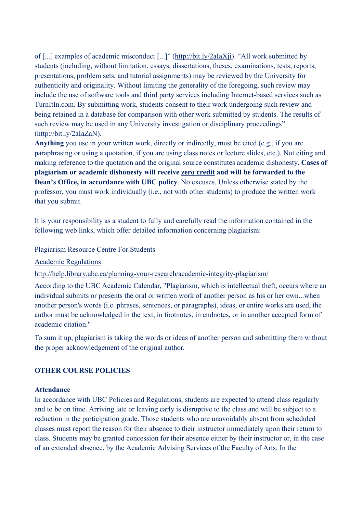of [...] examples of academic misconduct [...]" [\(http://bit.ly/2aIaXji\)](https://www.mail.ubc.ca/owa/redir.aspx?C=SRWR6RgRKVNZU5VQ9f4tu8wdW5FUkyes6gxYhRYsRMyOenucdbDVCA..&URL=http%3a%2f%2fbit.ly%2f2aIaXji). "All work submitted by students (including, without limitation, essays, dissertations, theses, examinations, tests, reports, presentations, problem sets, and tutorial assignments) may be reviewed by the University for authenticity and originality. Without limiting the generality of the foregoing, such review may include the use of software tools and third party services including Internet-based services such as [TurnItIn.com.](https://www.mail.ubc.ca/owa/redir.aspx?C=gbw3Ird0iF4Mg6AoKRthp4qXd1gXvXoGjXMFp8fY7EiOenucdbDVCA..&URL=http%3a%2f%2fTurnItIn.com) By submitting work, students consent to their work undergoing such review and being retained in a database for comparison with other work submitted by students. The results of such review may be used in any University investigation or disciplinary proceedings" [\(http://bit.ly/2aIaZaN\)](https://www.mail.ubc.ca/owa/redir.aspx?C=I_jhjRRKoLeTwYaR4_vR8yLqbRu9cxdzRTynECE-yfaOenucdbDVCA..&URL=http%3a%2f%2fbit.ly%2f2aIaZaN).

**Anything** you use in your written work, directly or indirectly, must be cited (e.g., if you are paraphrasing or using a quotation, if you are using class notes or lecture slides, etc.). Not citing and making reference to the quotation and the original source constitutes academic dishonesty. **Cases of plagiarism or academic dishonesty will receive zero credit and will be forwarded to the Dean's Office, in accordance with UBC policy**. No excuses. Unless otherwise stated by the professor, you must work individually (i.e., not with other students) to produce the written work that you submit.

It is your responsibility as a student to fully and carefully read the information contained in the following web links, which offer detailed information concerning plagiarism:

### [Plagiarism Resource Centre For Students](http://www.library.ubc.ca/home/plagiarism/#_blank)

[Academic Regulations](http://www.students.ubc.ca/calendar/index.cfm?tree=3,54,111,959#_blank) 

## http://help.library.ubc.ca/planning[-your-research/academic-integrity-plagiarism/](http://help.library.ubc.ca/planning-your-research/academic-integrity-plagiarism/%0d)

According to the UBC Academic Calendar, "Plagiarism, which is intellectual theft, occurs where an individual submits or presents the oral or written work of another person as his or her own...when another person's words (i.e. phrases, sentences, or paragraphs), ideas, or entire works are used, the author must be acknowledged in the text, in footnotes, in endnotes, or in another accepted form of academic citation."

To sum it up, plagiarism is taking the words or ideas of another person and submitting them without the proper acknowledgement of the original author.

## **OTHER COURSE POLICIES**

### **Attendance**

In accordance with UBC Policies and Regulations, students are expected to attend class regularly and to be on time. Arriving late or leaving early is disruptive to the class and will be subject to a reduction in the participation grade. Those students who are unavoidably absent from scheduled classes must report the reason for their absence to their instructor immediately upon their return to class. Students may be granted concession for their absence either by their instructor or, in the case of an extended absence, by the Academic Advising Services of the Faculty of Arts. In the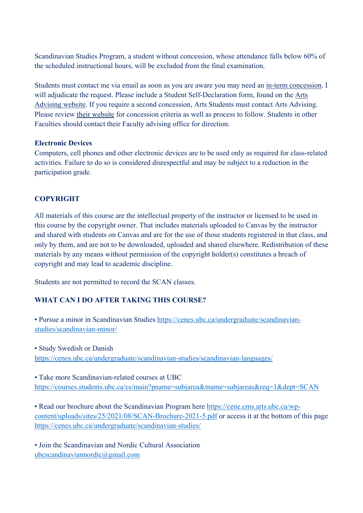Scandinavian Studies Program, a student without concession, whose attendance falls below 60% of the scheduled instructional hours, will be excluded from the final examination.

Students must contact me via email as soon as you are aware you may need an [in-term concession](https://www.mail.ubc.ca/owa/redir.aspx?C=XA_Si1tbGcTX0wbcIagUJXXxrsAv60cOBoSj4Wq_9t-iP6B98jDXCA..&URL=http%3a%2f%2fwww.calendar.ubc.ca%2fvancouver%2findex.cfm%3ftree%3d3%2c329%2c0%2c0%2326592). I will adjudicate the request. Please include a Student Self-Declaration form, found on the [Arts](https://www.mail.ubc.ca/owa/redir.aspx?C=s0lJR-ns8OwKvgyVfw68SLkGDjwqdVd2CZb4KlKhdx2iP6B98jDXCA..&URL=https%3a%2f%2fstudents.arts.ubc.ca%2fadvising%2facademic-performance%2fhelp-academic-concession%2f)  [Advising website.](https://www.mail.ubc.ca/owa/redir.aspx?C=s0lJR-ns8OwKvgyVfw68SLkGDjwqdVd2CZb4KlKhdx2iP6B98jDXCA..&URL=https%3a%2f%2fstudents.arts.ubc.ca%2fadvising%2facademic-performance%2fhelp-academic-concession%2f) If you require a second concession, Arts Students must contact Arts Advising. Please review [their website](https://www.mail.ubc.ca/owa/redir.aspx?C=s0lJR-ns8OwKvgyVfw68SLkGDjwqdVd2CZb4KlKhdx2iP6B98jDXCA..&URL=https%3a%2f%2fstudents.arts.ubc.ca%2fadvising%2facademic-performance%2fhelp-academic-concession%2f) for concession criteria as well as process to follow. Students in other Faculties should contact their Faculty advising office for direction.

### **Electronic Devices**

Computers, cell phones and other electronic devices are to be used only as required for class-related activities. Failure to do so is considered disrespectful and may be subject to a reduction in the participation grade.

# **COPYRIGHT**

All materials of this course are the intellectual property of the instructor or licensed to be used in this course by the copyright owner. That includes materials uploaded to Canvas by the instructor and shared with students on Canvas and are for the use of those students registered in that class, and only by them, and are not to be downloaded, uploaded and shared elsewhere. Redistribution of these materials by any means without permission of the copyright holder(s) constitutes a breach of copyright and may lead to academic discipline.

Students are not permitted to record the SCAN classes.

# **WHAT CAN I DO AFTER TAKING THIS COURSE?**

• Pursue a minor in Scandinavian Studies [https://cenes.ubc.ca/undergraduate/scandinavian](https://cenes.ubc.ca/undergraduate/scandinavian-studies/scandinavian-minor/)[studies/scandinavian](https://cenes.ubc.ca/undergraduate/scandinavian-studies/scandinavian-minor/)-minor/

• Study Swedish or Danish [https://cenes.ubc.ca/undergraduate/scandinavian](https://cenes.ubc.ca/undergraduate/scandinavian-studies/scandinavian-languages/)-studies/scandinavian-languages/

• Take more Scandinavian-related courses at UBC <https://courses.students.ubc.ca/cs/main?pname=subjarea&tname=subjareas&req=1&dept=SCAN>

• Read our brochure about the Scandinavian Program here [https://cene.cms.arts.ubc.ca/wp](https://cene.cms.arts.ubc.ca/wp-content/uploads/sites/25/2021/08/SCAN-Brochure-2021-5.pdf)[content/uploads/sites/25/2021/08/SCAN](https://cene.cms.arts.ubc.ca/wp-content/uploads/sites/25/2021/08/SCAN-Brochure-2021-5.pdf)-Brochure-2021-5.pdf or access it at the bottom of this page http[s://cenes.ubc.ca/undergraduate/scandinavian](https://cenes.ubc.ca/undergraduate/scandinavian-studies/)-studies/

• Join the Scandinavian and Nordic Cultural Association [ubcscandinaviannordic@gmail.com](mailto:ubcscandinaviannordic@gmail.com)